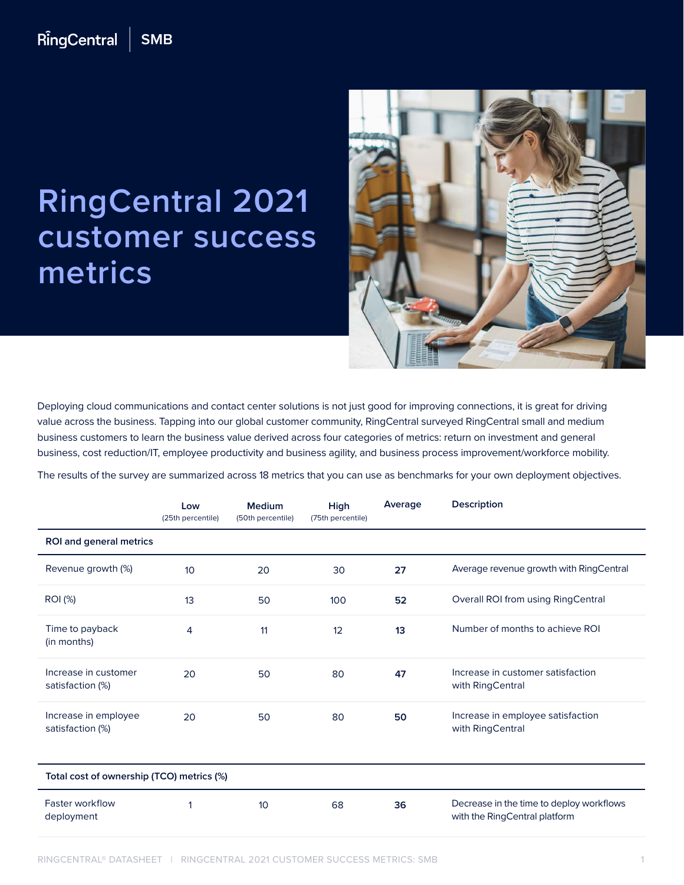## RingCentral **SMB**

## **RingCentral 2021 customer success metrics**



Deploying cloud communications and contact center solutions is not just good for improving connections, it is great for driving value across the business. Tapping into our global customer community, RingCentral surveyed RingCentral small and medium business customers to learn the business value derived across four categories of metrics: return on investment and general business, cost reduction/IT, employee productivity and business agility, and business process improvement/workforce mobility.

The results of the survey are summarized across 18 metrics that you can use as benchmarks for your own deployment objectives.

|                                           | Low<br>(25th percentile) | Medium<br>(50th percentile) | High<br>(75th percentile) | Average | <b>Description</b>                                                        |  |  |  |
|-------------------------------------------|--------------------------|-----------------------------|---------------------------|---------|---------------------------------------------------------------------------|--|--|--|
| <b>ROI and general metrics</b>            |                          |                             |                           |         |                                                                           |  |  |  |
| Revenue growth (%)                        | 10                       | 20                          | 30                        | 27      | Average revenue growth with RingCentral                                   |  |  |  |
| <b>ROI</b> (%)                            | 13                       | 50                          | 100                       | 52      | Overall ROI from using RingCentral                                        |  |  |  |
| Time to payback<br>(in months)            | $\overline{4}$           | 11                          | 12                        | 13      | Number of months to achieve ROI                                           |  |  |  |
| Increase in customer<br>satisfaction (%)  | 20                       | 50                          | 80                        | 47      | Increase in customer satisfaction<br>with RingCentral                     |  |  |  |
| Increase in employee<br>satisfaction (%)  | 20                       | 50                          | 80                        | 50      | Increase in employee satisfaction<br>with RingCentral                     |  |  |  |
| Total cost of ownership (TCO) metrics (%) |                          |                             |                           |         |                                                                           |  |  |  |
| <b>Faster workflow</b><br>deployment      |                          | 10                          | 68                        | 36      | Decrease in the time to deploy workflows<br>with the RingCentral platform |  |  |  |